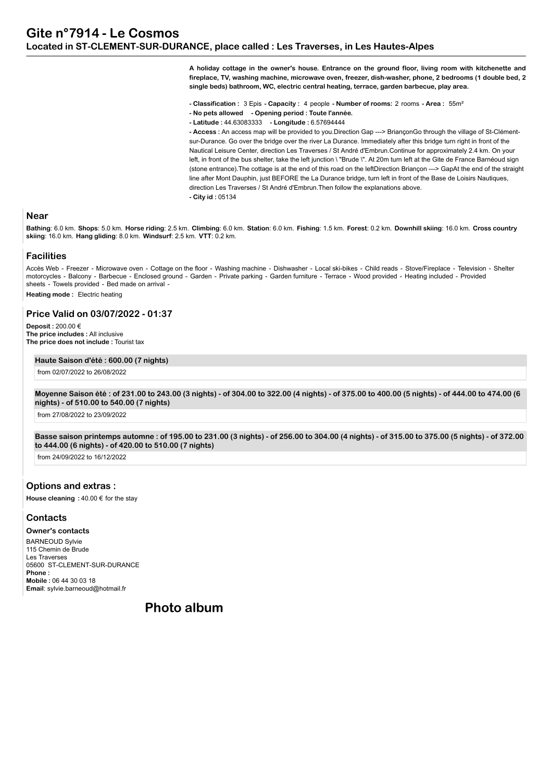**A holiday cottage in the owner's house. Entrance on the ground floor, living room with kitchenette and fireplace, TV, washing machine, microwave oven, freezer, dish-washer, phone, 2 bedrooms (1 double bed, 2 single beds) bathroom, WC, electric central heating, terrace, garden barbecue, play area.**

**- Classification :** 3 Epis **- Capacity :** 4 people **- Number of rooms:** 2 rooms **- Area :** 55m²

- **No pets allowed Opening period : Toute l'année.**
- **Latitude :** 44.63083333  **Longitude :** 6.57694444

**- Access :** An access map will be provided to you.Direction Gap ---> BriançonGo through the village of St-Clémentsur-Durance. Go over the bridge over the river La Durance. Immediately after this bridge turn right in front of the Nautical Leisure Center, direction Les Traverses / St André d'Embrun.Continue for approximately 2.4 km. On your left, in front of the bus shelter, take the left junction \ "Brude \". At 20m turn left at the Gite de France Barnéoud sign (stone entrance).The cottage is at the end of this road on the leftDirection Briançon ---> GapAt the end of the straight line after Mont Dauphin, just BEFORE the La Durance bridge, turn left in front of the Base de Loisirs Nautiques, direction Les Traverses / St André d'Embrun.Then follow the explanations above. **- City id :** 05134

#### **Near**

**Bathing**: 6.0 km. **Shops**: 5.0 km. **Horse riding**: 2.5 km. **Climbing**: 6.0 km. **Station**: 6.0 km. **Fishing**: 1.5 km. **Forest**: 0.2 km. **Downhill skiing**: 16.0 km. **Cross country skiing**: 16.0 km. **Hang gliding**: 8.0 km. **Windsurf**: 2.5 km. **VTT**: 0.2 km.

#### **Facilities**

Accès Web - Freezer - Microwave oven - Cottage on the floor - Washing machine - Dishwasher - Local ski-bikes - Child reads - Stove/Fireplace - Television - Shelter motorcycles - Balcony - Barbecue - Enclosed ground - Garden - Private parking - Garden furniture - Terrace - Wood provided - Heating included - Provided sheets - Towels provided - Bed made on arrival - **Heating mode :** Electric heating

# **Price Valid on 03/07/2022 - 01:37**

**Deposit :** 200.00 € **The price includes :** All inclusive **The price does not include :** Tourist tax

#### **Haute Saison d'été : 600.00 (7 nights)**

from 02/07/2022 to 26/08/2022

**Moyenne Saison été : of 231.00 to 243.00 (3 nights) - of 304.00 to 322.00 (4 nights) - of 375.00 to 400.00 (5 nights) - of 444.00 to 474.00 (6 nights) - of 510.00 to 540.00 (7 nights)**

from 27/08/2022 to 23/09/2022

**Basse saison printemps automne : of 195.00 to 231.00 (3 nights) - of 256.00 to 304.00 (4 nights) - of 315.00 to 375.00 (5 nights) - of 372.00 to 444.00 (6 nights) - of 420.00 to 510.00 (7 nights)**

from 24/09/2022 to 16/12/2022

## **Options and extras :**

**House cleaning :** 40.00 € for the stay

## **Contacts**

**Owner's contacts**

BARNEOUD Sylvie 115 Chemin de Brude Les Traverses 05600 ST-CLEMENT-SUR-DURANCE **Phone : Mobile :** 06 44 30 03 18 **Email**: sylvie.barneoud@hotmail.fr

**Photo album**